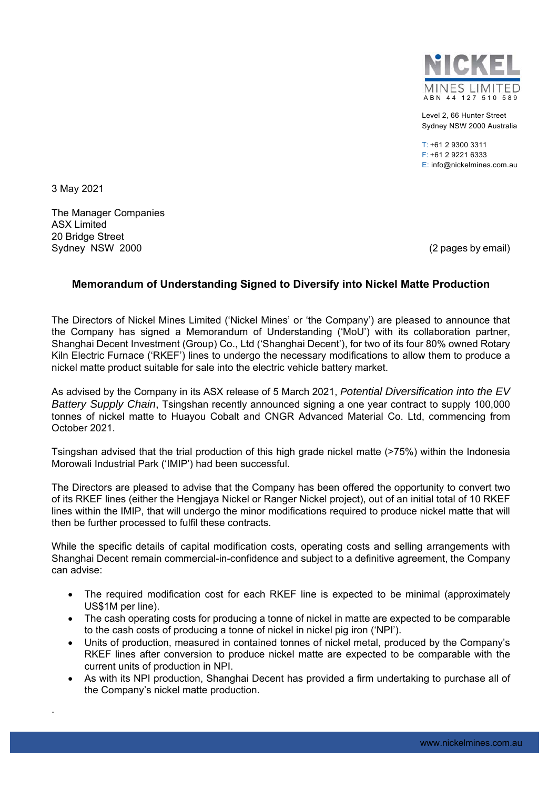

Level 2, 66 Hunter Street Sydney NSW 2000 Australia

 $T: +61$  2 9300 3311 F: +61 2 9221 6333 E: info@nickelmines.com.au

3 May 2021

.

The Manager Companies ASX Limited 20 Bridge Street Sydney NSW 2000 (2 pages by email)

## **Memorandum of Understanding Signed to Diversify into Nickel Matte Production**

The Directors of Nickel Mines Limited ('Nickel Mines' or 'the Company') are pleased to announce that the Company has signed a Memorandum of Understanding ('MoU') with its collaboration partner, Shanghai Decent Investment (Group) Co., Ltd ('Shanghai Decent'), for two of its four 80% owned Rotary Kiln Electric Furnace ('RKEF') lines to undergo the necessary modifications to allow them to produce a nickel matte product suitable for sale into the electric vehicle battery market.

As advised by the Company in its ASX release of 5 March 2021, *Potential Diversification into the EV Battery Supply Chain*, Tsingshan recently announced signing a one year contract to supply 100,000 tonnes of nickel matte to Huayou Cobalt and CNGR Advanced Material Co. Ltd, commencing from October 2021.

Tsingshan advised that the trial production of this high grade nickel matte (>75%) within the Indonesia Morowali Industrial Park ('IMIP') had been successful.

The Directors are pleased to advise that the Company has been offered the opportunity to convert two of its RKEF lines (either the Hengjaya Nickel or Ranger Nickel project), out of an initial total of 10 RKEF lines within the IMIP, that will undergo the minor modifications required to produce nickel matte that will then be further processed to fulfil these contracts.

While the specific details of capital modification costs, operating costs and selling arrangements with Shanghai Decent remain commercial-in-confidence and subject to a definitive agreement, the Company can advise:

- The required modification cost for each RKEF line is expected to be minimal (approximately US\$1M per line).
- The cash operating costs for producing a tonne of nickel in matte are expected to be comparable to the cash costs of producing a tonne of nickel in nickel pig iron ('NPI').
- Units of production, measured in contained tonnes of nickel metal, produced by the Company's RKEF lines after conversion to produce nickel matte are expected to be comparable with the current units of production in NPI.
- As with its NPI production, Shanghai Decent has provided a firm undertaking to purchase all of the Company's nickel matte production.